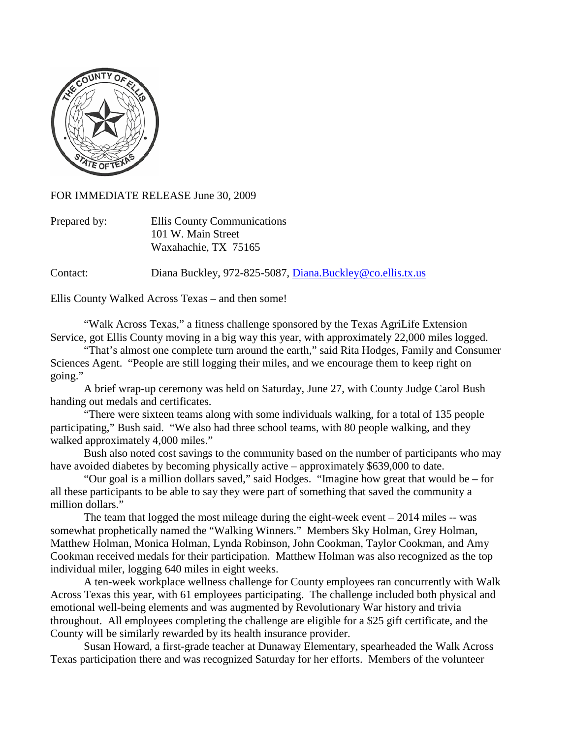

FOR IMMEDIATE RELEASE June 30, 2009

Prepared by: Ellis County Communications 101 W. Main Street Waxahachie, TX 75165

Contact: Diana Buckley, 972-825-5087, [Diana.Buckley@co.ellis.tx.us](mailto:Diana.Buckley@co.ellis.tx.us)

Ellis County Walked Across Texas – and then some!

"Walk Across Texas," a fitness challenge sponsored by the Texas AgriLife Extension Service, got Ellis County moving in a big way this year, with approximately 22,000 miles logged.

"That's almost one complete turn around the earth," said Rita Hodges, Family and Consumer Sciences Agent. "People are still logging their miles, and we encourage them to keep right on going."

A brief wrap-up ceremony was held on Saturday, June 27, with County Judge Carol Bush handing out medals and certificates.

"There were sixteen teams along with some individuals walking, for a total of 135 people participating," Bush said. "We also had three school teams, with 80 people walking, and they walked approximately 4,000 miles."

Bush also noted cost savings to the community based on the number of participants who may have avoided diabetes by becoming physically active – approximately \$639,000 to date.

"Our goal is a million dollars saved," said Hodges. "Imagine how great that would be – for all these participants to be able to say they were part of something that saved the community a million dollars."

The team that logged the most mileage during the eight-week event  $-2014$  miles  $-$  was somewhat prophetically named the "Walking Winners." Members Sky Holman, Grey Holman, Matthew Holman, Monica Holman, Lynda Robinson, John Cookman, Taylor Cookman, and Amy Cookman received medals for their participation. Matthew Holman was also recognized as the top individual miler, logging 640 miles in eight weeks.

A ten-week workplace wellness challenge for County employees ran concurrently with Walk Across Texas this year, with 61 employees participating. The challenge included both physical and emotional well-being elements and was augmented by Revolutionary War history and trivia throughout. All employees completing the challenge are eligible for a \$25 gift certificate, and the County will be similarly rewarded by its health insurance provider.

Susan Howard, a first-grade teacher at Dunaway Elementary, spearheaded the Walk Across Texas participation there and was recognized Saturday for her efforts. Members of the volunteer